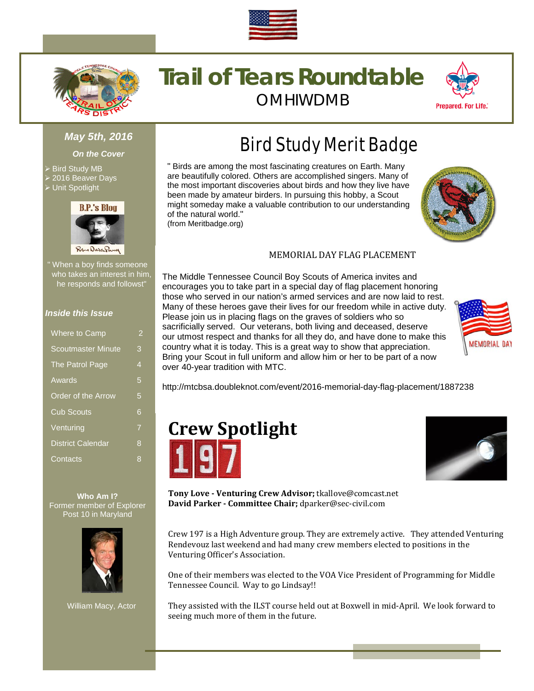



# **Trail of Tears Roundtable** OMHIWDMB



#### *May 5th, 2016*

*On the Cover*

- Bird Study MB
- 2016 Beaver Days
- Unit Spotlight



" When a boy finds someone who takes an interest in him, he responds and followst"

#### *Inside this Issue*

| Where to Camp             | 2              |
|---------------------------|----------------|
| <b>Scoutmaster Minute</b> | 3              |
| The Patrol Page           | 4              |
| Awards                    | 5              |
| Order of the Arrow        | 5              |
| <b>Cub Scouts</b>         | 6              |
| Venturing                 | $\overline{7}$ |
| <b>District Calendar</b>  | 8              |
| Contacts                  | 8              |
|                           |                |

**Who Am I?** Former member of Explorer Post 10 in Maryland



William Macy, Actor

# Bird Study Merit Badge

" Birds are among the most fascinating creatures on Earth. Many are beautifully colored. Others are accomplished singers. Many of the most important discoveries about birds and how they live have been made by amateur birders. In pursuing this hobby, a Scout might someday make a valuable contribution to our understanding of the natural world." (from Meritbadge.org)

#### MEMORIAL DAY FLAG PLACEMENT

The Middle Tennessee Council Boy Scouts of America invites and encourages you to take part in a special day of flag placement honoring those who served in our nation's armed services and are now laid to rest. Many of these heroes gave their lives for our freedom while in active duty. Please join us in placing flags on the graves of soldiers who so sacrificially served. Our veterans, both living and deceased, deserve our utmost respect and thanks for all they do, and have done to make this country what it is today. This is a great way to show that appreciation. Bring your Scout in full uniform and allow him or her to be part of a now over 40-year tradition with MTC.



http://mtcbsa.doubleknot.com/event/2016-memorial-day-flag-placement/1887238





**Tony Love - Venturing Crew Advisor;** tkallove@comcast.net **David Parker - Committee Chair;** dparker@sec-civil.com

Crew 197 is a High Adventure group. They are extremely active. They attended Venturing Rendevouz last weekend and had many crew members elected to positions in the Venturing Officer's Association.

One of their members was elected to the VOA Vice President of Programming for Middle Tennessee Council. Way to go Lindsay!!

They assisted with the ILST course held out at Boxwell in mid-April. We look forward to seeing much more of them in the future.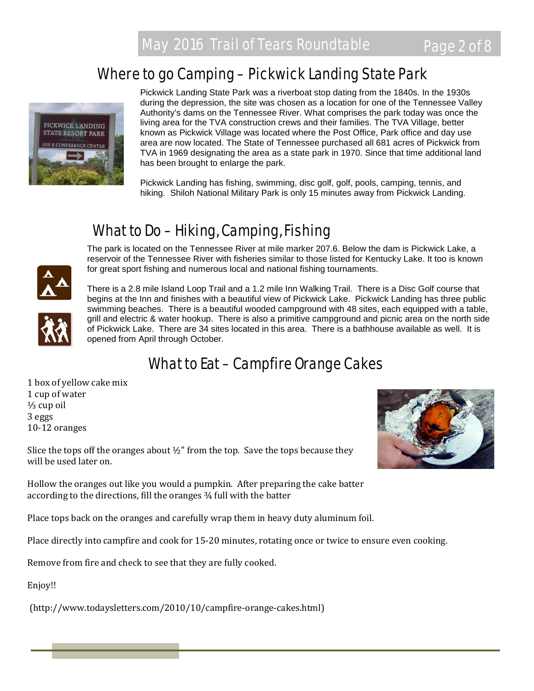# Where to go Camping – Pickwick Landing State Park



Pickwick Landing State Park was a riverboat stop dating from the 1840s. In the 1930s during the depression, the site was chosen as a location for one of the Tennessee Valley Authority's dams on the Tennessee River. What comprises the park today was once the living area for the TVA construction crews and their families. The TVA Village, better known as Pickwick Village was located where the Post Office, Park office and day use area are now located. The State of Tennessee purchased all 681 acres of Pickwick from TVA in 1969 designating the area as a state park in 1970. Since that time additional land has been brought to enlarge the park.

Pickwick Landing has fishing, swimming, disc golf, golf, pools, camping, tennis, and hiking. Shiloh National Military Park is only 15 minutes away from Pickwick Landing.

# What to Do – Hiking, Camping, Fishing

The park is located on the Tennessee River at mile marker 207.6. Below the dam is Pickwick Lake, a reservoir of the Tennessee River with fisheries similar to those listed for Kentucky Lake. It too is known for great sport fishing and numerous local and national fishing tournaments.





There is a 2.8 mile Island Loop Trail and a 1.2 mile Inn Walking Trail. There is a Disc Golf course that begins at the Inn and finishes with a beautiful view of Pickwick Lake. Pickwick Landing has three public swimming beaches. There is a beautiful wooded campground with 48 sites, each equipped with a table, grill and electric & water hookup. There is also a primitive campground and picnic area on the north side of Pickwick Lake. There are 34 sites located in this area. There is a bathhouse available as well. It is opened from April through October.

# What to Eat – Campfire Orange Cakes

1 box of yellow cake mix 1 cup of water ⅓ cup oil 3 eggs 10-12 oranges



Slice the tops off the oranges about  $\frac{1}{2}$ " from the top. Save the tops because they will be used later on.

Hollow the oranges out like you would a pumpkin. After preparing the cake batter according to the directions, fill the oranges ¾ full with the batter

Place tops back on the oranges and carefully wrap them in heavy duty aluminum foil.

Place directly into campfire and cook for 15-20 minutes, rotating once or twice to ensure even cooking.

Remove from fire and check to see that they are fully cooked.

Enjoy!!

(http://www.todaysletters.com/2010/10/campfire-orange-cakes.html)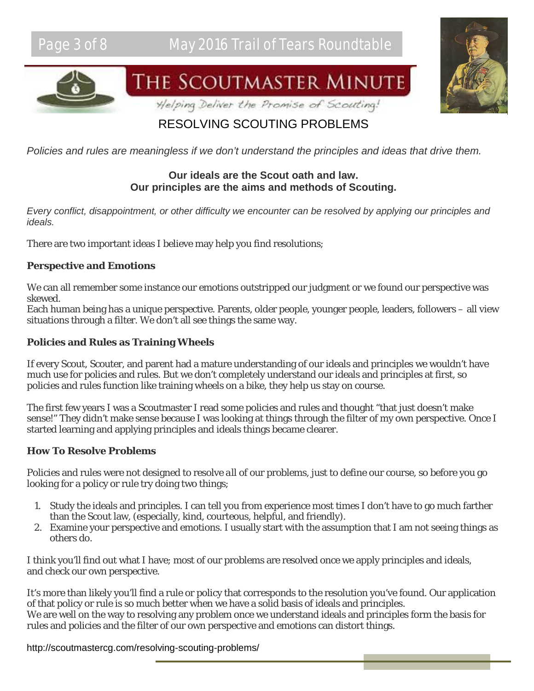



# THE SCOUTMASTER MINUTE

Helping Deliver the Promise of Scouting!

# RESOLVING SCOUTING PROBLEMS

*Policies and rules are meaningless if we don't understand the principles and ideas that drive them.*

# **Our ideals are the Scout oath and law. Our principles are the aims and methods of Scouting.**

*Every conflict, disappointment, or other difficulty we encounter can be resolved by applying our principles and ideals.*

There are two important ideas I believe may help you find resolutions;

## **Perspective and Emotions**

We can all remember some instance our emotions outstripped our judgment or we found our perspective was skewed.

Each human being has a unique perspective. Parents, older people, younger people, leaders, followers – all view situations through a filter. We don't all see things the same way.

## **Policies and Rules as Training Wheels**

If every Scout, Scouter, and parent had a mature understanding of our ideals and principles we wouldn't have much use for policies and rules. But we don't completely understand our ideals and principles at first, so policies and rules function like training wheels on a bike, they help us stay on course.

The first few years I was a Scoutmaster I read some policies and rules and thought "that just doesn't make sense!" They didn't make sense because I was looking at things through the filter of my own perspective. Once I started learning and applying principles and ideals things became clearer.

## **How To Resolve Problems**

Policies and rules were not designed to resolve *all* of our problems, just to define our course, so before you go looking for a policy or rule try doing two things;

- 1. Study the ideals and principles. I can tell you from experience most times I don't have to go much farther than the Scout law, (especially, kind, courteous, helpful, and friendly).
- 2. Examine your perspective and emotions. I usually start with the assumption that I am not seeing things as others do.

I think you'll find out what I have; most of our problems are resolved once we apply principles and ideals, and check our own perspective.

It's more than likely you'll find a rule or policy that corresponds to the resolution you've found. Our application of that policy or rule is so much better when we have a solid basis of ideals and principles. We are well on the way to resolving any problem once we understand ideals and principles form the basis for rules and policies and the filter of our own perspective and emotions can distort things.

http://scoutmastercg.com/resolving-scouting-problems/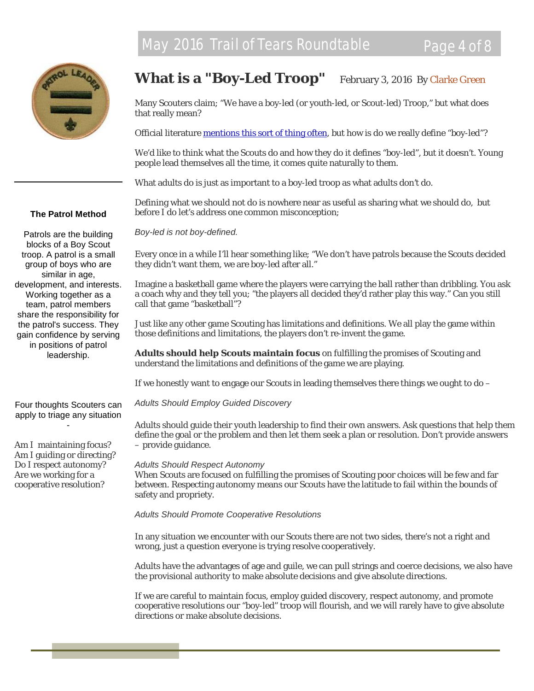

# What is a "Boy-Led Troop" February 3, 2016 By [Clarke Green](http://scoutmastercg.com/author/clarke-green/)

Many Scouters claim; "We have a boy-led (or youth-led, or Scout-led) Troop," but what does that really mean?

Official literature [mentions this sort of thing often,](http://scoutmastercg.com/where-is-it-written-that-troops-are-boy-led/) but how is do we really define "boy-led"?

We'd like to think what the Scouts do and how they do it defines "boy-led", but it doesn't. Young people lead themselves all the time, it comes quite naturally to them.

What adults do is just as important to a boy-led troop as what adults *don't* do.

Defining what we *should not* do is nowhere near as useful as sharing what we *should* do, but before I do let's address one common misconception;

*Boy-led is not boy-defined.*

Every once in a while I'll hear something like; "We don't have patrols because the Scouts decided they didn't want them, we are boy-led after all."

Imagine a basketball game where the players were carrying the ball rather than dribbling. You ask a coach why and they tell you; "the players all decided they'd rather play this way." Can you still call that game "basketball"?

Just like any other game Scouting has limitations and definitions. We all play the game within those definitions and limitations, the players don't re-invent the game.

**Adults should help Scouts maintain focus** on fulfilling the promises of Scouting and understand the limitations and definitions of the game we are playing.

If we honestly want to engage our Scouts in leading themselves there things we ought to do –

*Adults Should Employ Guided Discovery*

Adults should guide their youth leadership to find their own answers. Ask questions that help them define the goal or the problem and then let them seek a plan or resolution. Don't provide answers – provide guidance.

#### *Adults Should Respect Autonomy*

When Scouts are focused on fulfilling the promises of Scouting poor choices will be few and far between. Respecting autonomy means our Scouts have the latitude to fail within the bounds of safety and propriety.

*Adults Should Promote Cooperative Resolutions*

In any situation we encounter with our Scouts there are not two sides, there's not a right and wrong, just a question everyone is trying resolve cooperatively.

Adults have the advantages of age and guile, we can pull strings and coerce decisions, we also have the provisional authority to make absolute decisions and give absolute directions.

If we are careful to maintain focus, employ guided discovery, respect autonomy, and promote cooperative resolutions our "boy-led" troop will flourish, and we will rarely have to give absolute directions or make absolute decisions.

#### **The Patrol Method**

Patrols are the building blocks of a Boy Scout troop. A patrol is a small group of boys who are similar in age, development, and interests. Working together as a team, patrol members share the responsibility for the patrol's success. They gain confidence by serving in positions of patrol leadership.

Four thoughts Scouters can apply to triage any situation -

Am I maintaining focus? Am I guiding or directing? Do I respect autonomy? Are we working for a cooperative resolution?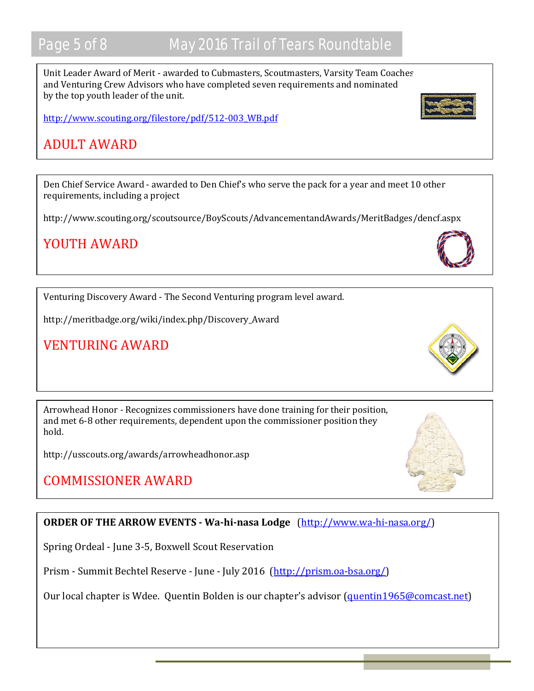# Page 5 of 8 May 2016 Trail of Tears Roundtable

Unit Leader Award of Merit - awarded to Cubmasters, Scoutmasters, Varsity Team Coaches, and Venturing Crew Advisors who have completed seven requirements and nominated by the top youth leader of the unit.

[http://www.scouting.org/filestore/pdf/512-003\\_WB.pdf](http://www.scouting.org/filestore/pdf/512-003_WB.pdf)

# ADULT AWARD

Den Chief Service Award - awarded to Den Chief's who serve the pack for a year and meet 10 other requirements, including a project

http://www.scouting.org/scoutsource/BoyScouts/AdvancementandAwards/MeritBadges/dencf.aspx

# YOUTH AWARD

Venturing Discovery Award - The Second Venturing program level award.

http://meritbadge.org/wiki/index.php/Discovery\_Award

# VENTURING AWARD

Arrowhead Honor - Recognizes commissioners have done training for their position, and met 6-8 other requirements, dependent upon the commissioner position they hold.

http://usscouts.org/awards/arrowheadhonor.asp

# COMMISSIONER AWARD

## **ORDER OF THE ARROW EVENTS - Wa-hi-nasa Lodge** [\(http://www.wa-hi-nasa.org/\)](http://www.wa-hi-nasa.org/)

Spring Ordeal - June 3-5, Boxwell Scout Reservation

Prism - Summit Bechtel Reserve - June - July 2016 [\(http://prism.oa-bsa.org/\)](http://prism.oa-bsa.org/)

Our local chapter is Wdee. Quentin Bolden is our chapter's advisor [\(quentin1965@comcast.net\)](mailto:quentin1965@comcast.net)





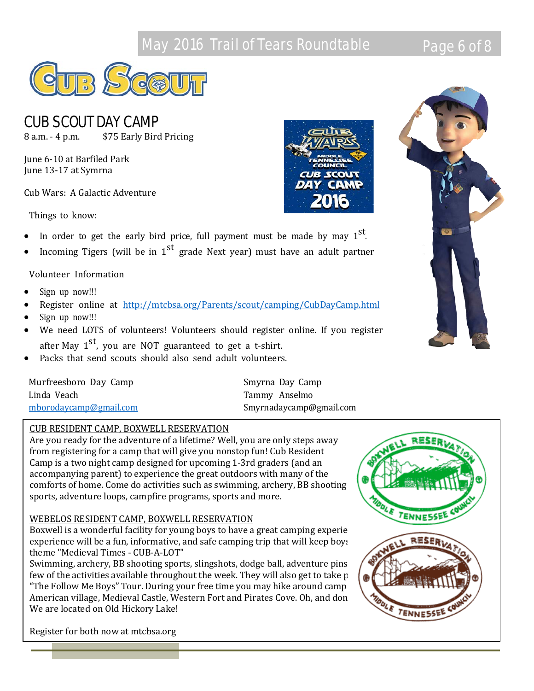# May 2016 Trail of Tears Roundtable **Page 6 of 8**



# CUB SCOUT DAY CAMP

8 a.m. - 4 p.m. \$75 Early Bird Pricing

June 6-10 at Barfiled Park June 13-17 at Symrna

Cub Wars: A Galactic Adventure

Things to know:

- In order to get the early bird price, full payment must be made by may  $1<sup>st</sup>$ .
- Incoming Tigers (will be in  $1<sup>st</sup>$  grade Next year) must have an adult partner

#### Volunteer Information

- Sign up now!!!
- Register online at <http://mtcbsa.org/Parents/scout/camping/CubDayCamp.html>
- Sign up now!!!
- We need LOTS of volunteers! Volunteers should register online. If you register after May  $1<sup>st</sup>$ , you are NOT guaranteed to get a t-shirt.
- Packs that send scouts should also send adult volunteers.

| Murfreesboro Day Camp  | Smyrna Day Camp         |
|------------------------|-------------------------|
| Linda Veach            | Tammy Anselmo           |
| mborodaycamp@gmail.com | Smyrnadaycamp@gmail.com |

#### CUB RESIDENT CAMP, BOXWELL RESERVATION

Are you ready for the adventure of a lifetime? Well, you are only steps away from registering for a camp that will give you nonstop fun! Cub Resident Camp is a two night camp designed for upcoming 1-3rd graders (and an accompanying parent) to experience the great outdoors with many of the comforts of home. Come do activities such as swimming, archery, BB shooting sports, adventure loops, campfire programs, sports and more.

#### WEBELOS RESIDENT CAMP, BOXWELL RESERVATION

experience will be a fun, informative, and safe camping trip that will keep boys theme "Medieval Times - CUB-A-LOT"

Swimming, archery, BB shooting sports, slingshots, dodge ball, adventure pins few of the activities available throughout the week. They will also get to take p "The Follow Me Boys" Tour. During your free time you may hike around camp American village, Medieval Castle, Western Fort and Pirates Cove. Oh, and don We are located on Old Hickory Lake!

Register for both now at mtcbsa.org



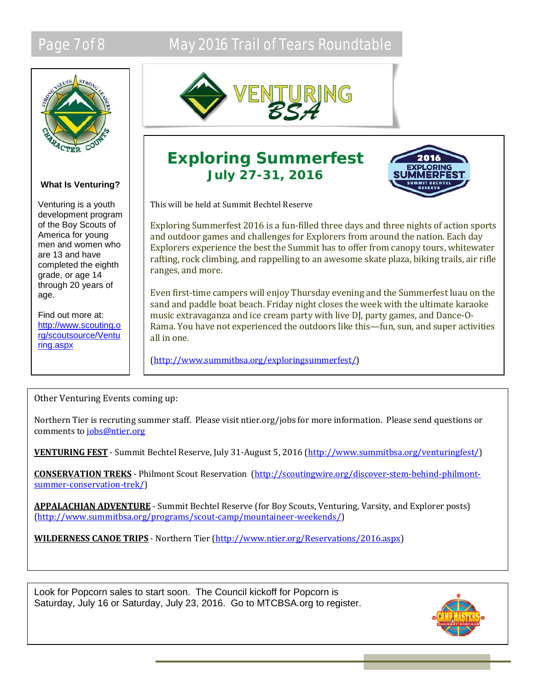# Page 7 of 8 May 2016 Trail of Tears Roundtable



#### **What Is Venturing?**

Venturing is a youth development program of the Boy Scouts of America for young men and women who are 13 and have completed the eighth grade, or age 14 through 20 years of age.

Find out more at: [http://www.scouting.o](http://www.scouting.org/scoutsource/Venturing.aspx) [rg/scoutsource/Ventu](http://www.scouting.org/scoutsource/Venturing.aspx) [ring.aspx](http://www.scouting.org/scoutsource/Venturing.aspx)



# **Exploring Summerfest July 27-31, 2016**



This will be held at Summit Bechtel Reserve

Exploring Summerfest 2016 is a fun-filled three days and three nights of action sports and outdoor games and challenges for Explorers from around the nation. Each day Explorers experience the best the Summit has to offer from canopy tours, whitewater rafting, rock climbing, and rappelling to an awesome skate plaza, biking trails, air rifle ranges, and more.

Even first-time campers will enjoy Thursday evening and the Summerfest luau on the sand and paddle boat beach. Friday night closes the week with the ultimate karaoke music extravaganza and ice cream party with live DJ, party games, and Dance-O-Rama. You have not experienced the outdoors like this—fun, sun, and super activities all in one.

[\(http://www.summitbsa.org/exploringsummerfest/\)](http://www.summitbsa.org/exploringsummerfest/)

## Other Venturing Events coming up:

Northern Tier is recruting summer staff. Please visit ntier.org/jobs for more information. Please send questions or comments t[o jobs@ntier.org](mailto:jobs@ntier.org)

**VENTURING FEST** - Summit Bechtel Reserve, July 31-August 5, 2016 [\(http://www.summitbsa.org/venturingfest/\)](http://www.summitbsa.org/venturingfest/)

**CONSERVATION TREKS** - Philmont Scout Reservation [\(http://scoutingwire.org/discover-stem-behind-philmont](http://scoutingwire.org/discover-stem-behind-philmont-summer-conservation-trek/)[summer-conservation-trek/\)](http://scoutingwire.org/discover-stem-behind-philmont-summer-conservation-trek/)

**APPALACHIAN ADVENTURE** - Summit Bechtel Reserve (for Boy Scouts, Venturing, Varsity, and Explorer posts) [\(http://www.summitbsa.org/programs/scout-camp/mountaineer-weekends/\)](http://www.summitbsa.org/programs/scout-camp/mountaineer-weekends/)

**WILDERNESS CANOE TRIPS** - Northern Tier [\(http://www.ntier.org/Reservations/2016.aspx\)](http://www.ntier.org/Reservations/2016.aspx)

Look for Popcorn sales to start soon. The Council kickoff for Popcorn is Saturday, July 16 or Saturday, July 23, 2016. Go to MTCBSA.org to register.